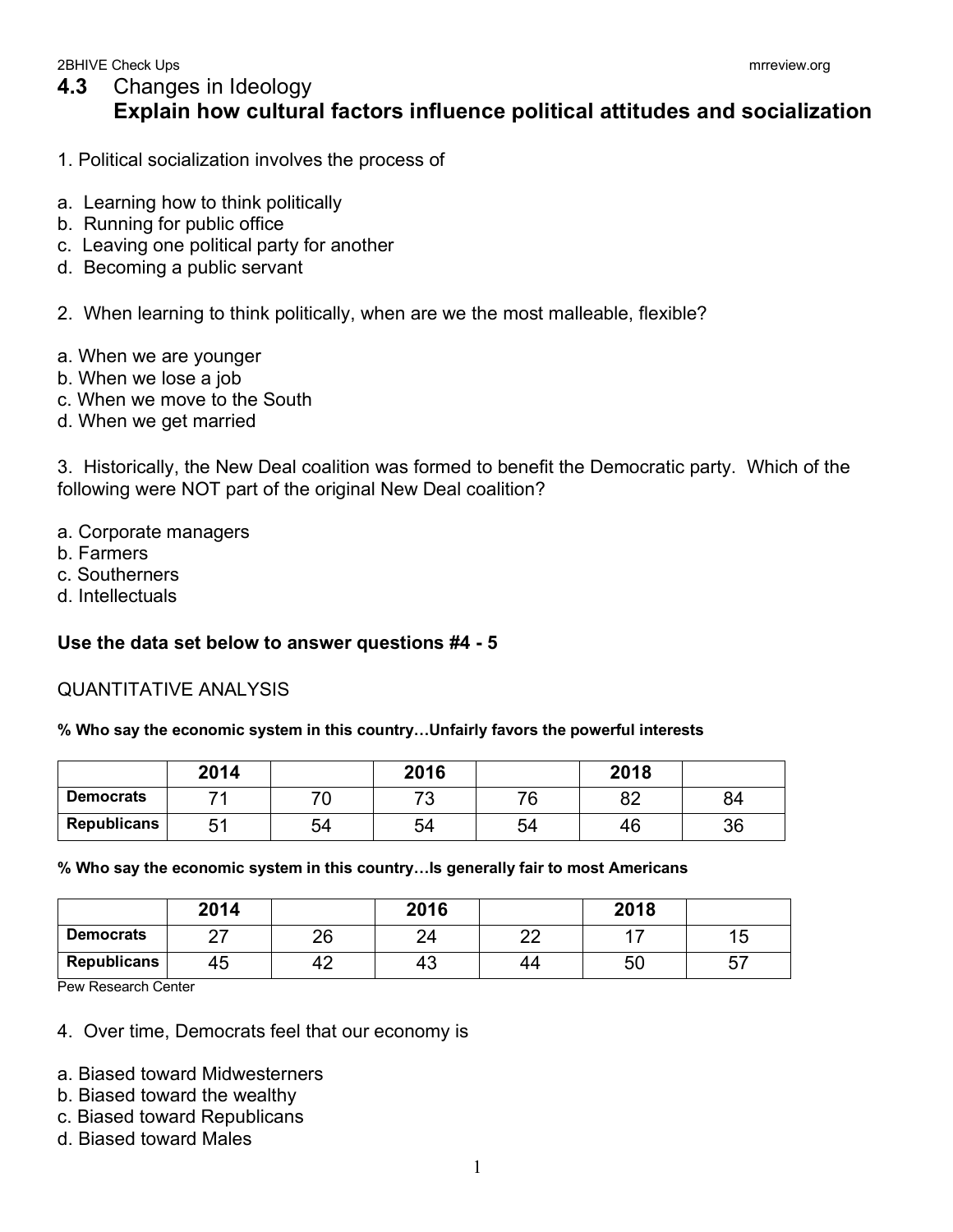## **4.3** Changes in Ideology **Explain how cultural factors influence political attitudes and socialization**

- 1. Political socialization involves the process of
- a. Learning how to think politically
- b. Running for public office
- c. Leaving one political party for another
- d. Becoming a public servant
- 2. When learning to think politically, when are we the most malleable, flexible?
- a. When we are younger
- b. When we lose a job
- c. When we move to the South
- d. When we get married

3. Historically, the New Deal coalition was formed to benefit the Democratic party. Which of the following were NOT part of the original New Deal coalition?

- a. Corporate managers
- b. Farmers
- c. Southerners
- d. Intellectuals

## **Use the data set below to answer questions #4 - 5**

## QUANTITATIVE ANALYSIS

**% Who say the economic system in this country…Unfairly favors the powerful interests**

|                    | 2014      |    | 2016    |    | 2018     |    |
|--------------------|-----------|----|---------|----|----------|----|
| <b>Democrats</b>   |           |    | ⇁⌒<br>w | 76 | ററ<br>◡∠ | 84 |
| <b>Republicans</b> | ς.<br>ັບເ | 54 | 54      | 54 | 46       | 36 |

## **% Who say the economic system in this country…Is generally fair to most Americans**

|                    | 2014      |    | 2016 |           | 2018 |         |
|--------------------|-----------|----|------|-----------|------|---------|
| <b>Democrats</b>   | ^7<br>_ _ | 26 | 24   | ററ<br>$-$ |      | ັບ      |
| <b>Republicans</b> | 45        | 42 | 43   | 44        | 50   | --<br>ິ |

Pew Research Center

- 4. Over time, Democrats feel that our economy is
- a. Biased toward Midwesterners
- b. Biased toward the wealthy
- c. Biased toward Republicans
- d. Biased toward Males